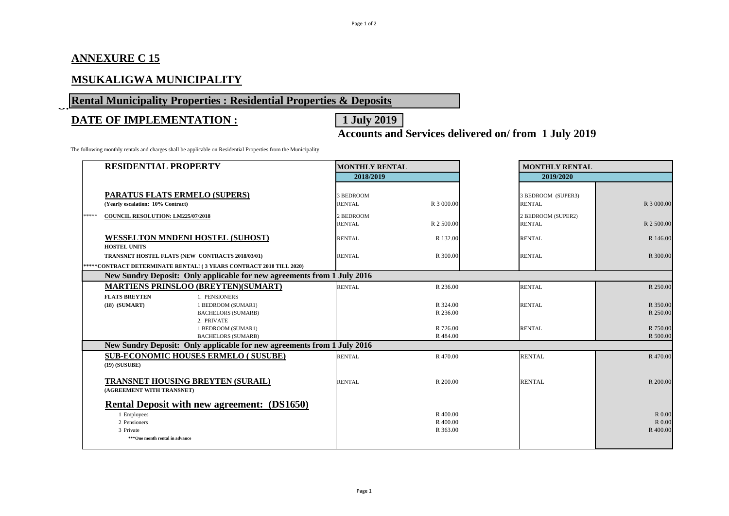# **ANNEXURE C 15**

### **MSUKALIGWA MUNICIPALITY**

# **Rental Municipality Properties : Residential Properties & Deposits**

# **DATE OF IMPLEMENTATION :** 1 July 2019

**Accounts and Services delivered on/ from 1 July 2019**

The following monthly rentals and charges shall be applicable on Residential Properties from the Municipality

|       | <b>RESIDENTIAL PROPERTY</b>                                                                                                      | <b>MONTHLY RENTAL</b>      |                                 | <b>MONTHLY RENTAL</b> |                                     |                              |  |  |
|-------|----------------------------------------------------------------------------------------------------------------------------------|----------------------------|---------------------------------|-----------------------|-------------------------------------|------------------------------|--|--|
|       |                                                                                                                                  | 2018/2019                  |                                 |                       | 2019/2020                           |                              |  |  |
|       | <b>PARATUS FLATS ERMELO (SUPERS)</b><br>(Yearly escalation: 10% Contract)                                                        | 3 BEDROOM<br><b>RENTAL</b> | R 3 000.00                      |                       | 3 BEDROOM (SUPER3)<br><b>RENTAL</b> | R 3 000.00                   |  |  |
|       |                                                                                                                                  |                            |                                 |                       |                                     |                              |  |  |
| ***** | COUNCIL RESOLUTION: LM225/07/2018                                                                                                | 2 BEDROOM                  |                                 |                       | 2 BEDROOM (SUPER2)                  |                              |  |  |
|       |                                                                                                                                  | <b>RENTAL</b>              | R 2 500.00                      |                       | <b>RENTAL</b>                       | R 2 500.00                   |  |  |
|       | <b>WESSELTON MNDENI HOSTEL (SUHOST)</b><br><b>HOSTEL UNITS</b>                                                                   | <b>RENTAL</b>              | R 132.00                        |                       | <b>RENTAL</b>                       | R 146.00                     |  |  |
|       | TRANSNET HOSTEL FLATS (NEW CONTRACTS 2018/03/01)                                                                                 | <b>RENTAL</b>              | R 300.00                        |                       | <b>RENTAL</b>                       | R 300.00                     |  |  |
|       | *****CONTRACT DETERMINATE RENTAL! (3 YEARS CONTRACT 2018 TILL 2020)                                                              |                            |                                 |                       |                                     |                              |  |  |
|       | New Sundry Deposit: Only applicable for new agreements from 1 July 2016                                                          |                            |                                 |                       |                                     |                              |  |  |
|       | <b>MARTIENS PRINSLOO (BREYTEN) (SUMART)</b>                                                                                      | <b>RENTAL</b>              | R 236.00                        |                       | <b>RENTAL</b>                       | R 250.00                     |  |  |
|       | <b>FLATS BREYTEN</b><br>1. PENSIONERS                                                                                            |                            |                                 |                       |                                     |                              |  |  |
|       | $(18)$ $(SUMART)$<br>1 BEDROOM (SUMAR1)                                                                                          |                            | R 324.00                        |                       | <b>RENTAL</b>                       | R 350.00                     |  |  |
|       | <b>BACHELORS (SUMARB)</b>                                                                                                        |                            | R 236.00                        |                       |                                     | R 250.00                     |  |  |
|       | 2. PRIVATE                                                                                                                       |                            |                                 |                       |                                     |                              |  |  |
|       | 1 BEDROOM (SUMAR1)                                                                                                               |                            | R 726.00                        |                       | <b>RENTAL</b>                       | R 750.00                     |  |  |
|       | <b>BACHELORS (SUMARB)</b>                                                                                                        |                            | R484.00                         |                       |                                     | R 500.00                     |  |  |
|       | New Sundry Deposit: Only applicable for new agreements from 1 July 2016                                                          |                            |                                 |                       |                                     |                              |  |  |
|       | <b>SUB-ECONOMIC HOUSES ERMELO (SUSUBE)</b>                                                                                       | <b>RENTAL</b>              | R470.00                         |                       | <b>RENTAL</b>                       | R470.00                      |  |  |
|       | (19) (SUSUBE)                                                                                                                    |                            |                                 |                       |                                     |                              |  |  |
|       | <b>TRANSNET HOUSING BREYTEN (SURAIL)</b><br>(AGREEMENT WITH TRANSNET)                                                            | <b>RENTAL</b>              | R 200.00                        |                       | <b>RENTAL</b>                       | R 200.00                     |  |  |
|       | <b>Rental Deposit with new agreement: (DS1650)</b><br>1 Employees<br>2 Pensioners<br>3 Private<br>***One month rental in advance |                            | R 400.00<br>R400.00<br>R 363.00 |                       |                                     | R 0.00<br>R 0.00<br>R 400.00 |  |  |